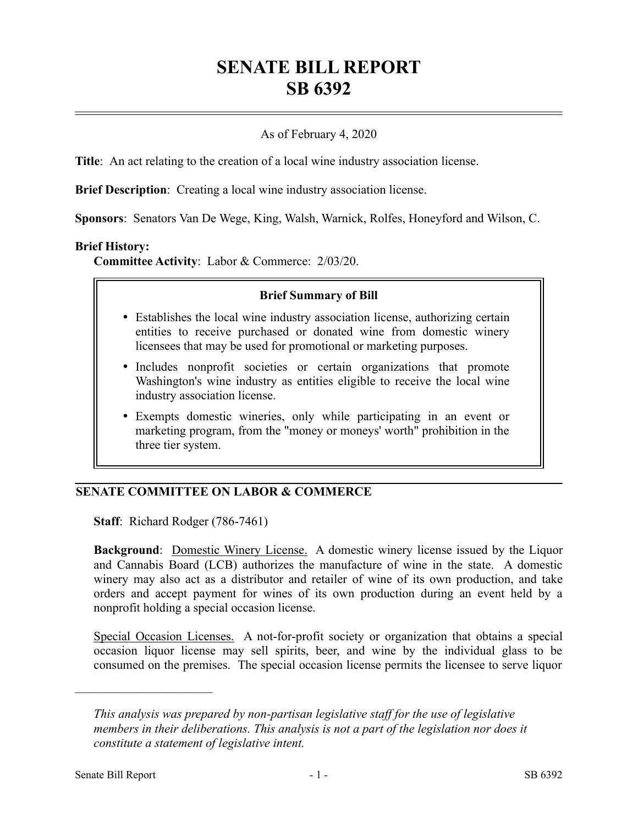# **SENATE BILL REPORT SB 6392**

## As of February 4, 2020

**Title**: An act relating to the creation of a local wine industry association license.

**Brief Description**: Creating a local wine industry association license.

**Sponsors**: Senators Van De Wege, King, Walsh, Warnick, Rolfes, Honeyford and Wilson, C.

#### **Brief History:**

**Committee Activity**: Labor & Commerce: 2/03/20.

#### **Brief Summary of Bill**

- Establishes the local wine industry association license, authorizing certain entities to receive purchased or donated wine from domestic winery licensees that may be used for promotional or marketing purposes.
- Includes nonprofit societies or certain organizations that promote Washington's wine industry as entities eligible to receive the local wine industry association license.
- Exempts domestic wineries, only while participating in an event or marketing program, from the "money or moneys' worth" prohibition in the three tier system.

### **SENATE COMMITTEE ON LABOR & COMMERCE**

**Staff**: Richard Rodger (786-7461)

**Background**: Domestic Winery License. A domestic winery license issued by the Liquor and Cannabis Board (LCB) authorizes the manufacture of wine in the state. A domestic winery may also act as a distributor and retailer of wine of its own production, and take orders and accept payment for wines of its own production during an event held by a nonprofit holding a special occasion license.

Special Occasion Licenses. A not-for-profit society or organization that obtains a special occasion liquor license may sell spirits, beer, and wine by the individual glass to be consumed on the premises. The special occasion license permits the licensee to serve liquor

––––––––––––––––––––––

*This analysis was prepared by non-partisan legislative staff for the use of legislative members in their deliberations. This analysis is not a part of the legislation nor does it constitute a statement of legislative intent.*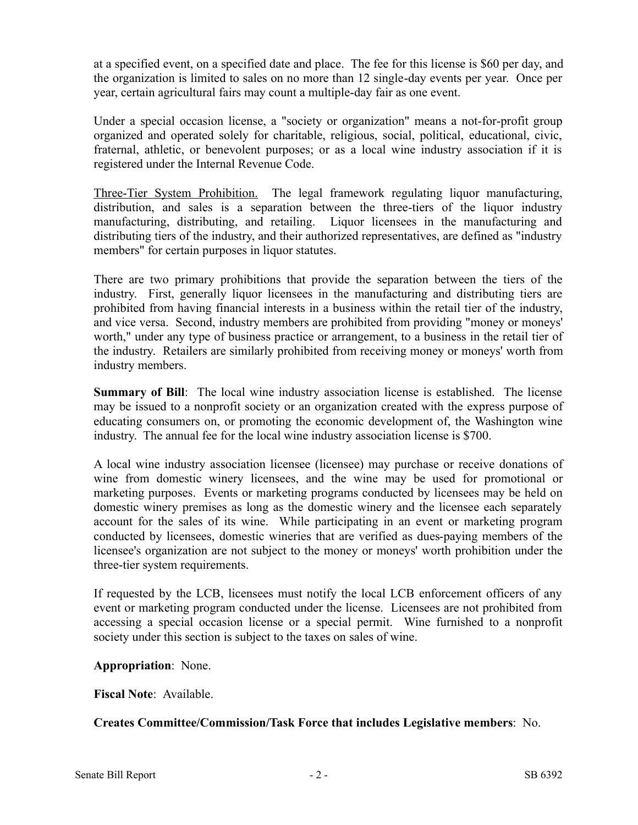at a specified event, on a specified date and place. The fee for this license is \$60 per day, and the organization is limited to sales on no more than 12 single-day events per year. Once per year, certain agricultural fairs may count a multiple-day fair as one event.

Under a special occasion license, a "society or organization" means a not-for-profit group organized and operated solely for charitable, religious, social, political, educational, civic, fraternal, athletic, or benevolent purposes; or as a local wine industry association if it is registered under the Internal Revenue Code.

Three-Tier System Prohibition. The legal framework regulating liquor manufacturing, distribution, and sales is a separation between the three-tiers of the liquor industry manufacturing, distributing, and retailing. Liquor licensees in the manufacturing and distributing tiers of the industry, and their authorized representatives, are defined as "industry members" for certain purposes in liquor statutes.

There are two primary prohibitions that provide the separation between the tiers of the industry. First, generally liquor licensees in the manufacturing and distributing tiers are prohibited from having financial interests in a business within the retail tier of the industry, and vice versa. Second, industry members are prohibited from providing "money or moneys' worth," under any type of business practice or arrangement, to a business in the retail tier of the industry. Retailers are similarly prohibited from receiving money or moneys' worth from industry members.

**Summary of Bill**: The local wine industry association license is established. The license may be issued to a nonprofit society or an organization created with the express purpose of educating consumers on, or promoting the economic development of, the Washington wine industry. The annual fee for the local wine industry association license is \$700.

A local wine industry association licensee (licensee) may purchase or receive donations of wine from domestic winery licensees, and the wine may be used for promotional or marketing purposes. Events or marketing programs conducted by licensees may be held on domestic winery premises as long as the domestic winery and the licensee each separately account for the sales of its wine. While participating in an event or marketing program conducted by licensees, domestic wineries that are verified as dues-paying members of the licensee's organization are not subject to the money or moneys' worth prohibition under the three-tier system requirements.

If requested by the LCB, licensees must notify the local LCB enforcement officers of any event or marketing program conducted under the license. Licensees are not prohibited from accessing a special occasion license or a special permit. Wine furnished to a nonprofit society under this section is subject to the taxes on sales of wine.

**Appropriation**: None.

**Fiscal Note**: Available.

**Creates Committee/Commission/Task Force that includes Legislative members**: No.